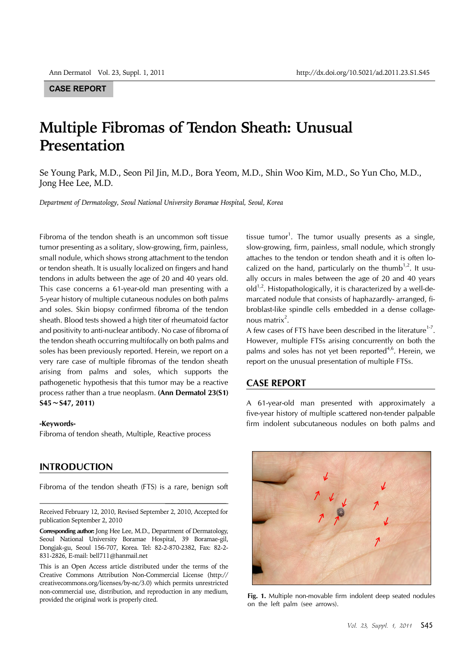## **CASE REPORT**

# **Multiple Fibromas of Tendon Sheath: Unusual Presentation**

Se Young Park, M.D., Seon Pil Jin, M.D., Bora Yeom, M.D., Shin Woo Kim, M.D., So Yun Cho, M.D., Jong Hee Lee, M.D.

*Department of Dermatology, Seoul National University Boramae Hospital, Seoul, Korea*

Fibroma of the tendon sheath is an uncommon soft tissue tumor presenting as a solitary, slow-growing, firm, painless, small nodule, which shows strong attachment to the tendon or tendon sheath. It is usually localized on fingers and hand tendons in adults between the age of 20 and 40 years old. This case concerns a 61-year-old man presenting with a 5-year history of multiple cutaneous nodules on both palms and soles. Skin biopsy confirmed fibroma of the tendon sheath. Blood tests showed a high titer of rheumatoid factor and positivity to anti-nuclear antibody. No case of fibroma of the tendon sheath occurring multifocally on both palms and soles has been previously reported. Herein, we report on a very rare case of multiple fibromas of the tendon sheath arising from palms and soles, which supports the pathogenetic hypothesis that this tumor may be a reactive process rather than a true neoplasm. **(Ann Dermatol 23(S1) S45**∼**S47, 2011)**

#### **-Keywords-**

Fibroma of tendon sheath, Multiple, Reactive process

## **INTRODUCTION**

Fibroma of the tendon sheath (FTS) is a rare, benign soft

**Corresponding author:** Jong Hee Lee, M.D., Department of Dermatology, Seoul National University Boramae Hospital, 39 Boramae-gil, Dongjak-gu, Seoul 156-707, Korea. Tel: 82-2-870-2382, Fax: 82-2- 831-2826, E-mail: bell711@hanmail.net

This is an Open Access article distributed under the terms of the Creative Commons Attribution Non-Commercial License (http:// creativecommons.org/licenses/by-nc/3.0) which permits unrestricted non-commercial use, distribution, and reproduction in any medium, provided the original work is properly cited. **Fig. 1.** Multiple non-movable firm indolent deep seated nodules

tissue tumor<sup>1</sup>. The tumor usually presents as a single, slow-growing, firm, painless, small nodule, which strongly attaches to the tendon or tendon sheath and it is often localized on the hand, particularly on the thumb<sup>1,2</sup>. It usually occurs in males between the age of 20 and 40 years  $old^{1,2}$ . Histopathologically, it is characterized by a well-demarcated nodule that consists of haphazardly- arranged, fibroblast-like spindle cells embedded in a dense collagenous matrix $2$ .

A few cases of FTS have been described in the literature<sup>1-7</sup>. However, multiple FTSs arising concurrently on both the palms and soles has not yet been reported<sup>4,6</sup>. Herein, we report on the unusual presentation of multiple FTSs.

## **CASE REPORT**

A 61-year-old man presented with approximately a five-year history of multiple scattered non-tender palpable firm indolent subcutaneous nodules on both palms and



on the left palm (see arrows).

Received February 12, 2010, Revised September 2, 2010, Accepted for publication September 2, 2010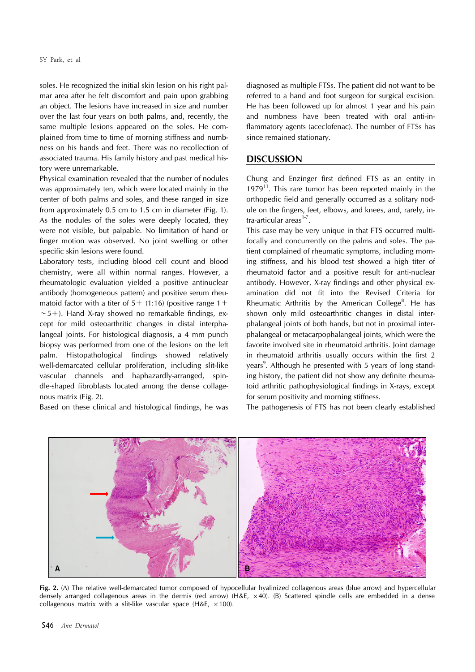soles. He recognized the initial skin lesion on his right palmar area after he felt discomfort and pain upon grabbing an object. The lesions have increased in size and number over the last four years on both palms, and, recently, the same multiple lesions appeared on the soles. He complained from time to time of morning stiffness and numbness on his hands and feet. There was no recollection of associated trauma. His family history and past medical history were unremarkable.

Physical examination revealed that the number of nodules was approximately ten, which were located mainly in the center of both palms and soles, and these ranged in size from approximately 0.5 cm to 1.5 cm in diameter (Fig. 1). As the nodules of the soles were deeply located, they were not visible, but palpable. No limitation of hand or finger motion was observed. No joint swelling or other specific skin lesions were found.

Laboratory tests, including blood cell count and blood chemistry, were all within normal ranges. However, a rheumatologic evaluation yielded a positive antinuclear antibody (homogeneous pattern) and positive serum rheumatoid factor with a titer of  $5+$  (1:16) (positive range  $1+$ ∼5+). Hand X-ray showed no remarkable findings, except for mild osteoarthritic changes in distal interphalangeal joints. For histological diagnosis, a 4 mm punch biopsy was performed from one of the lesions on the left palm. Histopathological findings showed relatively well-demarcated cellular proliferation, including slit-like vascular channels and haphazardly-arranged, spindle-shaped fibroblasts located among the dense collagenous matrix (Fig. 2).

Based on these clinical and histological findings, he was

diagnosed as multiple FTSs. The patient did not want to be referred to a hand and foot surgeon for surgical excision. He has been followed up for almost 1 year and his pain and numbness have been treated with oral anti-inflammatory agents (aceclofenac). The number of FTSs has since remained stationary.

## **DISCUSSION**

Chung and Enzinger first defined FTS as an entity in  $1979<sup>11</sup>$ . This rare tumor has been reported mainly in the orthopedic field and generally occurred as a solitary nodule on the fingers, feet, elbows, and knees, and, rarely, intra-articular areas $1-7$ .

This case may be very unique in that FTS occurred multifocally and concurrently on the palms and soles. The patient complained of rheumatic symptoms, including morning stiffness, and his blood test showed a high titer of rheumatoid factor and a positive result for anti-nuclear antibody. However, X-ray findings and other physical examination did not fit into the Revised Criteria for Rheumatic Arthritis by the American College $8$ . He has shown only mild osteoarthritic changes in distal interphalangeal joints of both hands, but not in proximal interphalangeal or metacarpophalangeal joints, which were the favorite involved site in rheumatoid arthritis. Joint damage in rheumatoid arthritis usually occurs within the first 2 years<sup>9</sup>. Although he presented with 5 years of long standing history, the patient did not show any definite rheumatoid arthritic pathophysiological findings in X-rays, except for serum positivity and morning stiffness.

The pathogenesis of FTS has not been clearly established



**Fig. 2.** (A) The relative well-demarcated tumor composed of hypocellular hyalinized collagenous areas (blue arrow) and hypercellular densely arranged collagenous areas in the dermis (red arrow) (H&E, ×40). (B) Scattered spindle cells are embedded in a dense collagenous matrix with a slit-like vascular space (H&E,  $\times$ 100).